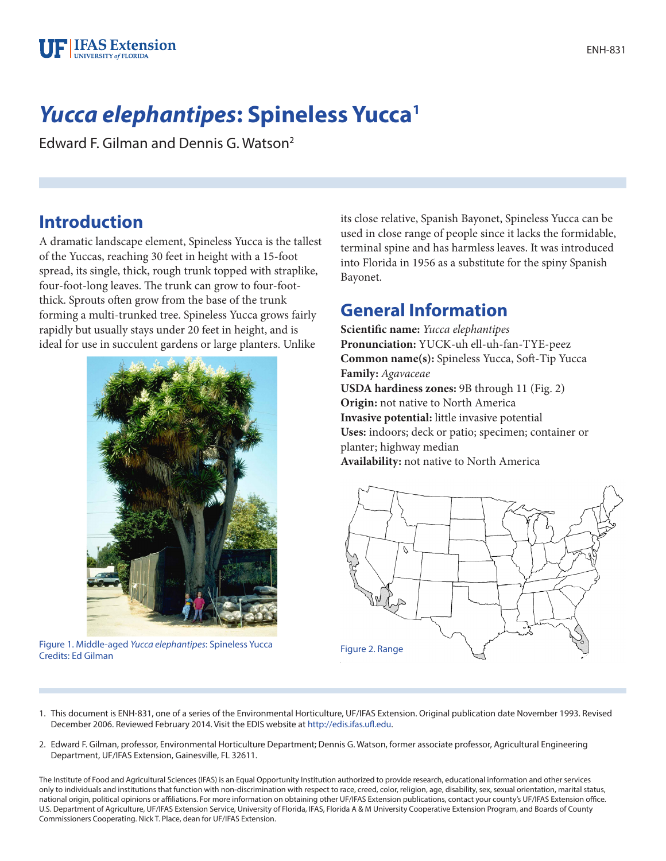

# *Yucca elephantipes***: Spineless Yucca1**

Edward F. Gilman and Dennis G. Watson2

### **Introduction**

A dramatic landscape element, Spineless Yucca is the tallest of the Yuccas, reaching 30 feet in height with a 15-foot spread, its single, thick, rough trunk topped with straplike, four-foot-long leaves. The trunk can grow to four-footthick. Sprouts often grow from the base of the trunk forming a multi-trunked tree. Spineless Yucca grows fairly rapidly but usually stays under 20 feet in height, and is ideal for use in succulent gardens or large planters. Unlike



Figure 1. Middle-aged *Yucca elephantipes*: Spineless Yucca Credits: Ed Gilman Figure 2. Range

its close relative, Spanish Bayonet, Spineless Yucca can be used in close range of people since it lacks the formidable, terminal spine and has harmless leaves. It was introduced into Florida in 1956 as a substitute for the spiny Spanish Bayonet.

### **General Information**

**Scientific name:** *Yucca elephantipes* **Pronunciation:** YUCK-uh ell-uh-fan-TYE-peez **Common name(s):** Spineless Yucca, Soft-Tip Yucca **Family:** *Agavaceae* **USDA hardiness zones:** 9B through 11 (Fig. 2) **Origin:** not native to North America **Invasive potential:** little invasive potential **Uses:** indoors; deck or patio; specimen; container or planter; highway median **Availability:** not native to North America



- 1. This document is ENH-831, one of a series of the Environmental Horticulture, UF/IFAS Extension. Original publication date November 1993. Revised December 2006. Reviewed February 2014. Visit the EDIS website at [http://edis.ifas.ufl.edu.](http://edis.ifas.ufl.edu)
- 2. Edward F. Gilman, professor, Environmental Horticulture Department; Dennis G. Watson, former associate professor, Agricultural Engineering Department, UF/IFAS Extension, Gainesville, FL 32611.

The Institute of Food and Agricultural Sciences (IFAS) is an Equal Opportunity Institution authorized to provide research, educational information and other services only to individuals and institutions that function with non-discrimination with respect to race, creed, color, religion, age, disability, sex, sexual orientation, marital status, national origin, political opinions or affiliations. For more information on obtaining other UF/IFAS Extension publications, contact your county's UF/IFAS Extension office. U.S. Department of Agriculture, UF/IFAS Extension Service, University of Florida, IFAS, Florida A & M University Cooperative Extension Program, and Boards of County Commissioners Cooperating. Nick T. Place, dean for UF/IFAS Extension.